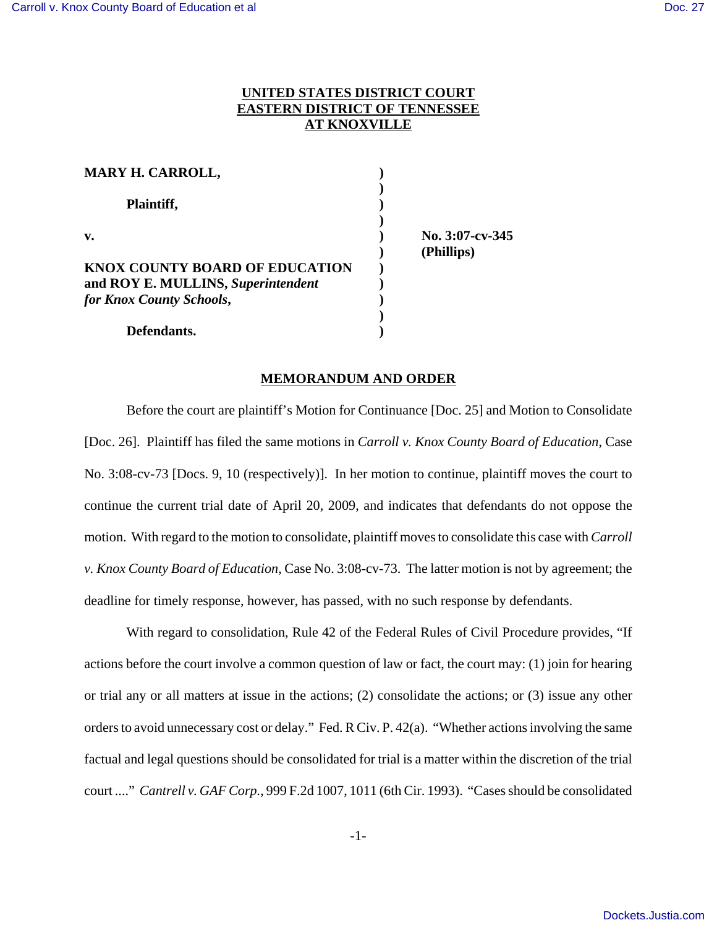## **UNITED STATES DISTRICT COURT EASTERN DISTRICT OF TENNESSEE AT KNOXVILLE**

| MARY H. CARROLL,                      |  |
|---------------------------------------|--|
|                                       |  |
| Plaintiff,<br>$\mathbf{v}$ .          |  |
|                                       |  |
|                                       |  |
| <b>KNOX COUNTY BOARD OF EDUCATION</b> |  |
| and ROY E. MULLINS, Superintendent    |  |
| for Knox County Schools,              |  |
|                                       |  |
| Defendants.                           |  |

**v. ) No. 3:07-cv-345 ) (Phillips)**

## **MEMORANDUM AND ORDER**

Before the court are plaintiff's Motion for Continuance [Doc. 25] and Motion to Consolidate [Doc. 26]. Plaintiff has filed the same motions in *Carroll v. Knox County Board of Education*, Case No. 3:08-cv-73 [Docs. 9, 10 (respectively)]. In her motion to continue, plaintiff moves the court to continue the current trial date of April 20, 2009, and indicates that defendants do not oppose the motion. With regard to the motion to consolidate, plaintiff moves to consolidate this case with *Carroll v. Knox County Board of Education*, Case No. 3:08-cv-73. The latter motion is not by agreement; the deadline for timely response, however, has passed, with no such response by defendants.

With regard to consolidation, Rule 42 of the Federal Rules of Civil Procedure provides, "If actions before the court involve a common question of law or fact, the court may: (1) join for hearing or trial any or all matters at issue in the actions; (2) consolidate the actions; or (3) issue any other orders to avoid unnecessary cost or delay." Fed. R Civ. P. 42(a). "Whether actions involving the same factual and legal questions should be consolidated for trial is a matter within the discretion of the trial court ...." *Cantrell v. GAF Corp.*, 999 F.2d 1007, 1011 (6th Cir. 1993). "Cases should be consolidated